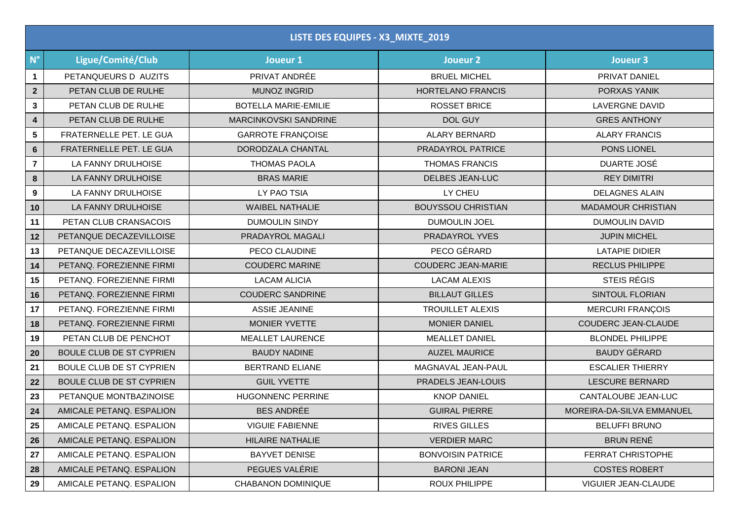| LISTE DES EQUIPES - X3_MIXTE_2019 |                                 |                              |                           |                           |
|-----------------------------------|---------------------------------|------------------------------|---------------------------|---------------------------|
| $N^{\circ}$                       | Ligue/Comité/Club               | Joueur 1                     | Joueur <sub>2</sub>       | Joueur 3                  |
| $\mathbf 1$                       | PETANQUEURS D AUZITS            | PRIVAT ANDRÉE                | <b>BRUEL MICHEL</b>       | PRIVAT DANIEL             |
| $\mathbf{2}$                      | PETAN CLUB DE RULHE             | <b>MUNOZ INGRID</b>          | <b>HORTELANO FRANCIS</b>  | PORXAS YANIK              |
| $\mathbf 3$                       | PETAN CLUB DE RULHE             | <b>BOTELLA MARIE-EMILIE</b>  | <b>ROSSET BRICE</b>       | <b>LAVERGNE DAVID</b>     |
| $\overline{\mathbf{4}}$           | PETAN CLUB DE RULHE             | <b>MARCINKOVSKI SANDRINE</b> | <b>DOL GUY</b>            | <b>GRES ANTHONY</b>       |
| $5\phantom{.0}$                   | FRATERNELLE PET. LE GUA         | <b>GARROTE FRANÇOISE</b>     | <b>ALARY BERNARD</b>      | <b>ALARY FRANCIS</b>      |
| 6                                 | FRATERNELLE PET. LE GUA         | DORODZALA CHANTAL            | PRADAYROL PATRICE         | PONS LIONEL               |
| $\overline{7}$                    | LA FANNY DRULHOISE              | <b>THOMAS PAOLA</b>          | <b>THOMAS FRANCIS</b>     | DUARTE JOSÉ               |
| 8                                 | LA FANNY DRULHOISE              | <b>BRAS MARIE</b>            | <b>DELBES JEAN-LUC</b>    | <b>REY DIMITRI</b>        |
| 9                                 | LA FANNY DRULHOISE              | LY PAO TSIA                  | LY CHEU                   | <b>DELAGNES ALAIN</b>     |
| 10                                | LA FANNY DRULHOISE              | <b>WAIBEL NATHALIE</b>       | <b>BOUYSSOU CHRISTIAN</b> | <b>MADAMOUR CHRISTIAN</b> |
| 11                                | PETAN CLUB CRANSACOIS           | <b>DUMOULIN SINDY</b>        | <b>DUMOULIN JOEL</b>      | <b>DUMOULIN DAVID</b>     |
| 12                                | PETANQUE DECAZEVILLOISE         | PRADAYROL MAGALI             | PRADAYROL YVES            | <b>JUPIN MICHEL</b>       |
| 13                                | PETANQUE DECAZEVILLOISE         | PECO CLAUDINE                | PECO GÉRARD               | <b>LATAPIE DIDIER</b>     |
| 14                                | PETANQ. FOREZIENNE FIRMI        | <b>COUDERC MARINE</b>        | <b>COUDERC JEAN-MARIE</b> | <b>RECLUS PHILIPPE</b>    |
| 15                                | PETANQ. FOREZIENNE FIRMI        | <b>LACAM ALICIA</b>          | <b>LACAM ALEXIS</b>       | <b>STEIS RÉGIS</b>        |
| 16                                | PETANQ. FOREZIENNE FIRMI        | <b>COUDERC SANDRINE</b>      | <b>BILLAUT GILLES</b>     | SINTOUL FLORIAN           |
| 17                                | PETANQ. FOREZIENNE FIRMI        | <b>ASSIE JEANINE</b>         | <b>TROUILLET ALEXIS</b>   | <b>MERCURI FRANÇOIS</b>   |
| 18                                | PETANQ. FOREZIENNE FIRMI        | <b>MONIER YVETTE</b>         | <b>MONIER DANIEL</b>      | COUDERC JEAN-CLAUDE       |
| 19                                | PETAN CLUB DE PENCHOT           | <b>MEALLET LAURENCE</b>      | <b>MEALLET DANIEL</b>     | <b>BLONDEL PHILIPPE</b>   |
| 20                                | BOULE CLUB DE ST CYPRIEN        | <b>BAUDY NADINE</b>          | <b>AUZEL MAURICE</b>      | <b>BAUDY GÉRARD</b>       |
| 21                                | <b>BOULE CLUB DE ST CYPRIEN</b> | <b>BERTRAND ELIANE</b>       | MAGNAVAL JEAN-PAUL        | <b>ESCALIER THIERRY</b>   |
| 22                                | BOULE CLUB DE ST CYPRIEN        | <b>GUIL YVETTE</b>           | PRADELS JEAN-LOUIS        | <b>LESCURE BERNARD</b>    |
| 23                                | PETANQUE MONTBAZINOISE          | <b>HUGONNENC PERRINE</b>     | <b>KNOP DANIEL</b>        | CANTALOUBE JEAN-LUC       |
| 24                                | AMICALE PETANQ. ESPALION        | <b>BES ANDRÉE</b>            | <b>GUIRAL PIERRE</b>      | MOREIRA-DA-SILVA EMMANUEL |
| 25                                | AMICALE PETANQ. ESPALION        | <b>VIGUIE FABIENNE</b>       | <b>RIVES GILLES</b>       | <b>BELUFFI BRUNO</b>      |
| 26                                | AMICALE PETANQ. ESPALION        | <b>HILAIRE NATHALIE</b>      | <b>VERDIER MARC</b>       | <b>BRUN RENÉ</b>          |
| 27                                | AMICALE PETANQ. ESPALION        | <b>BAYVET DENISE</b>         | <b>BONVOISIN PATRICE</b>  | <b>FERRAT CHRISTOPHE</b>  |
| 28                                | AMICALE PETANQ. ESPALION        | PEGUES VALÉRIE               | <b>BARONI JEAN</b>        | <b>COSTES ROBERT</b>      |
| 29                                | AMICALE PETANQ. ESPALION        | CHABANON DOMINIQUE           | <b>ROUX PHILIPPE</b>      | VIGUIER JEAN-CLAUDE       |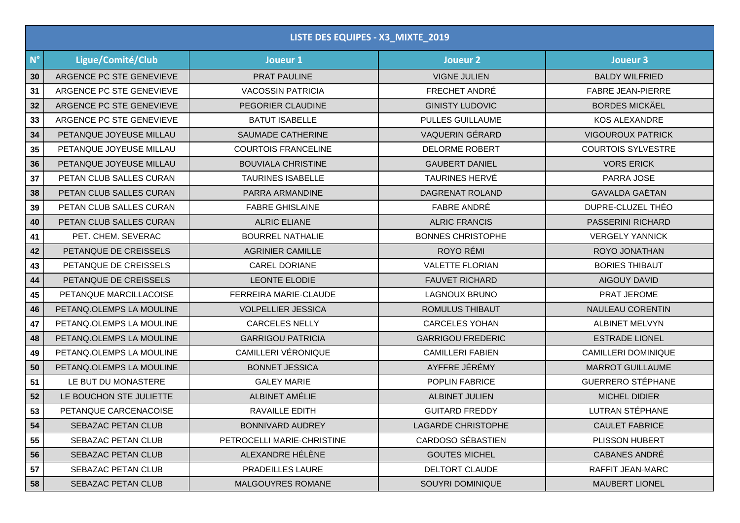|             | LISTE DES EQUIPES - X3_MIXTE_2019 |                            |                           |                           |
|-------------|-----------------------------------|----------------------------|---------------------------|---------------------------|
| $N^{\circ}$ | Ligue/Comité/Club                 | Joueur 1                   | Joueur <sub>2</sub>       | Joueur 3                  |
| 30          | ARGENCE PC STE GENEVIEVE          | PRAT PAULINE               | <b>VIGNE JULIEN</b>       | <b>BALDY WILFRIED</b>     |
| 31          | ARGENCE PC STE GENEVIEVE          | <b>VACOSSIN PATRICIA</b>   | FRECHET ANDRÉ             | <b>FABRE JEAN-PIERRE</b>  |
| 32          | ARGENCE PC STE GENEVIEVE          | PEGORIER CLAUDINE          | <b>GINISTY LUDOVIC</b>    | <b>BORDES MICKÄEL</b>     |
| 33          | ARGENCE PC STE GENEVIEVE          | <b>BATUT ISABELLE</b>      | <b>PULLES GUILLAUME</b>   | <b>KOS ALEXANDRE</b>      |
| 34          | PETANQUE JOYEUSE MILLAU           | SAUMADE CATHERINE          | VAQUERIN GÉRARD           | <b>VIGOUROUX PATRICK</b>  |
| 35          | PETANQUE JOYEUSE MILLAU           | <b>COURTOIS FRANCELINE</b> | <b>DELORME ROBERT</b>     | <b>COURTOIS SYLVESTRE</b> |
| 36          | PETANQUE JOYEUSE MILLAU           | <b>BOUVIALA CHRISTINE</b>  | <b>GAUBERT DANIEL</b>     | <b>VORS ERICK</b>         |
| 37          | PETAN CLUB SALLES CURAN           | <b>TAURINES ISABELLE</b>   | <b>TAURINES HERVÉ</b>     | PARRA JOSE                |
| 38          | PETAN CLUB SALLES CURAN           | PARRA ARMANDINE            | <b>DAGRENAT ROLAND</b>    | <b>GAVALDA GAËTAN</b>     |
| 39          | PETAN CLUB SALLES CURAN           | <b>FABRE GHISLAINE</b>     | <b>FABRE ANDRÉ</b>        | DUPRE-CLUZEL THÉO         |
| 40          | PETAN CLUB SALLES CURAN           | <b>ALRIC ELIANE</b>        | <b>ALRIC FRANCIS</b>      | PASSERINI RICHARD         |
| 41          | PET. CHEM. SEVERAC                | <b>BOURREL NATHALIE</b>    | <b>BONNES CHRISTOPHE</b>  | <b>VERGELY YANNICK</b>    |
| 42          | PETANQUE DE CREISSELS             | <b>AGRINIER CAMILLE</b>    | ROYO RÉMI                 | ROYO JONATHAN             |
| 43          | PETANQUE DE CREISSELS             | CAREL DORIANE              | <b>VALETTE FLORIAN</b>    | <b>BORIES THIBAUT</b>     |
| 44          | PETANQUE DE CREISSELS             | <b>LEONTE ELODIE</b>       | <b>FAUVET RICHARD</b>     | <b>AIGOUY DAVID</b>       |
| 45          | PETANQUE MARCILLACOISE            | FERREIRA MARIE-CLAUDE      | <b>LAGNOUX BRUNO</b>      | PRAT JEROME               |
| 46          | PETANQ.OLEMPS LA MOULINE          | <b>VOLPELLIER JESSICA</b>  | <b>ROMULUS THIBAUT</b>    | <b>NAULEAU CORENTIN</b>   |
| 47          | PETANQ.OLEMPS LA MOULINE          | <b>CARCELES NELLY</b>      | <b>CARCELES YOHAN</b>     | <b>ALBINET MELVYN</b>     |
| 48          | PETANQ.OLEMPS LA MOULINE          | <b>GARRIGOU PATRICIA</b>   | <b>GARRIGOU FREDERIC</b>  | <b>ESTRADE LIONEL</b>     |
| 49          | PETANQ.OLEMPS LA MOULINE          | CAMILLERI VÉRONIQUE        | <b>CAMILLERI FABIEN</b>   | CAMILLERI DOMINIQUE       |
| 50          | PETANQ.OLEMPS LA MOULINE          | <b>BONNET JESSICA</b>      | AYFFRE JÉRÉMY             | <b>MARROT GUILLAUME</b>   |
| 51          | LE BUT DU MONASTERE               | <b>GALEY MARIE</b>         | POPLIN FABRICE            | <b>GUERRERO STÉPHANE</b>  |
| 52          | LE BOUCHON STE JULIETTE           | ALBINET AMÉLIE             | <b>ALBINET JULIEN</b>     | <b>MICHEL DIDIER</b>      |
| 53          | PETANQUE CARCENACOISE             | RAVAILLE EDITH             | <b>GUITARD FREDDY</b>     | LUTRAN STÉPHANE           |
| 54          | SEBAZAC PETAN CLUB                | BONNIVARD AUDREY           | <b>LAGARDE CHRISTOPHE</b> | <b>CAULET FABRICE</b>     |
| 55          | SEBAZAC PETAN CLUB                | PETROCELLI MARIE-CHRISTINE | <b>CARDOSO SÉBASTIEN</b>  | PLISSON HUBERT            |
| 56          | SEBAZAC PETAN CLUB                | ALEXANDRE HÉLÈNE           | <b>GOUTES MICHEL</b>      | CABANES ANDRÉ             |
| 57          | SEBAZAC PETAN CLUB                | PRADEILLES LAURE           | <b>DELTORT CLAUDE</b>     | RAFFIT JEAN-MARC          |
| 58          | SEBAZAC PETAN CLUB                | MALGOUYRES ROMANE          | SOUYRI DOMINIQUE          | <b>MAUBERT LIONEL</b>     |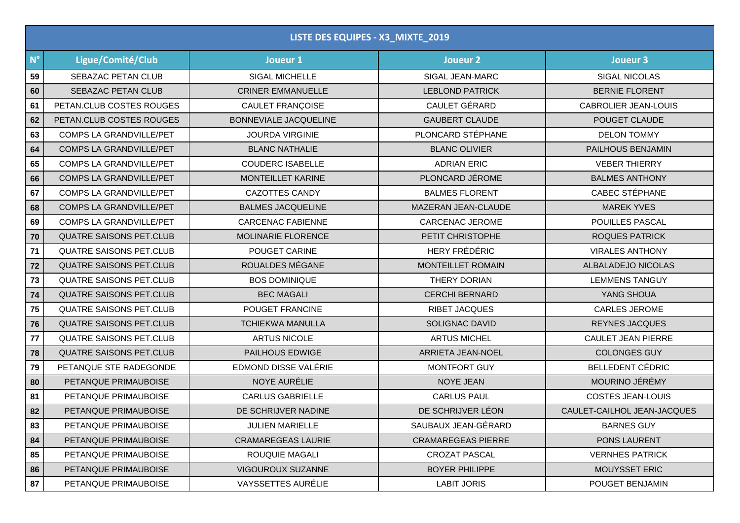| LISTE DES EQUIPES - X3_MIXTE_2019 |                                |                           |                           |                             |
|-----------------------------------|--------------------------------|---------------------------|---------------------------|-----------------------------|
| $N^{\circ}$                       | Ligue/Comité/Club              | Joueur 1                  | <b>Joueur 2</b>           | <b>Joueur 3</b>             |
| 59                                | SEBAZAC PETAN CLUB             | <b>SIGAL MICHELLE</b>     | SIGAL JEAN-MARC           | <b>SIGAL NICOLAS</b>        |
| 60                                | SEBAZAC PETAN CLUB             | <b>CRINER EMMANUELLE</b>  | <b>LEBLOND PATRICK</b>    | <b>BERNIE FLORENT</b>       |
| 61                                | PETAN.CLUB COSTES ROUGES       | CAULET FRANÇOISE          | CAULET GÉRARD             | <b>CABROLIER JEAN-LOUIS</b> |
| 62                                | PETAN.CLUB COSTES ROUGES       | BONNEVIALE JACQUELINE     | <b>GAUBERT CLAUDE</b>     | POUGET CLAUDE               |
| 63                                | <b>COMPS LA GRANDVILLE/PET</b> | <b>JOURDA VIRGINIE</b>    | PLONCARD STÉPHANE         | <b>DELON TOMMY</b>          |
| 64                                | COMPS LA GRANDVILLE/PET        | <b>BLANC NATHALIE</b>     | <b>BLANC OLIVIER</b>      | PAILHOUS BENJAMIN           |
| 65                                | <b>COMPS LA GRANDVILLE/PET</b> | <b>COUDERC ISABELLE</b>   | <b>ADRIAN ERIC</b>        | <b>VEBER THIERRY</b>        |
| 66                                | <b>COMPS LA GRANDVILLE/PET</b> | <b>MONTEILLET KARINE</b>  | PLONCARD JÉROME           | <b>BALMES ANTHONY</b>       |
| 67                                | <b>COMPS LA GRANDVILLE/PET</b> | <b>CAZOTTES CANDY</b>     | <b>BALMES FLORENT</b>     | <b>CABEC STÉPHANE</b>       |
| 68                                | COMPS LA GRANDVILLE/PET        | <b>BALMES JACQUELINE</b>  | MAZERAN JEAN-CLAUDE       | <b>MAREK YVES</b>           |
| 69                                | <b>COMPS LA GRANDVILLE/PET</b> | <b>CARCENAC FABIENNE</b>  | <b>CARCENAC JEROME</b>    | POUILLES PASCAL             |
| 70                                | <b>QUATRE SAISONS PET.CLUB</b> | <b>MOLINARIE FLORENCE</b> | PETIT CHRISTOPHE          | <b>ROQUES PATRICK</b>       |
| 71                                | <b>QUATRE SAISONS PET.CLUB</b> | POUGET CARINE             | <b>HERY FRÉDÉRIC</b>      | <b>VIRALES ANTHONY</b>      |
| $\bf 72$                          | <b>QUATRE SAISONS PET.CLUB</b> | ROUALDES MÉGANE           | <b>MONTEILLET ROMAIN</b>  | ALBALADEJO NICOLAS          |
| 73                                | <b>QUATRE SAISONS PET.CLUB</b> | <b>BOS DOMINIQUE</b>      | THERY DORIAN              | <b>LEMMENS TANGUY</b>       |
| 74                                | <b>QUATRE SAISONS PET.CLUB</b> | <b>BEC MAGALI</b>         | <b>CERCHI BERNARD</b>     | YANG SHOUA                  |
| 75                                | <b>QUATRE SAISONS PET.CLUB</b> | POUGET FRANCINE           | <b>RIBET JACQUES</b>      | <b>CARLES JEROME</b>        |
| 76                                | <b>QUATRE SAISONS PET.CLUB</b> | <b>TCHIEKWA MANULLA</b>   | SOLIGNAC DAVID            | <b>REYNES JACQUES</b>       |
| 77                                | <b>QUATRE SAISONS PET.CLUB</b> | <b>ARTUS NICOLE</b>       | <b>ARTUS MICHEL</b>       | <b>CAULET JEAN PIERRE</b>   |
| 78                                | <b>QUATRE SAISONS PET.CLUB</b> | PAILHOUS EDWIGE           | ARRIETA JEAN-NOEL         | <b>COLONGES GUY</b>         |
| 79                                | PETANQUE STE RADEGONDE         | EDMOND DISSE VALÉRIE      | <b>MONTFORT GUY</b>       | BELLEDENT CÉDRIC            |
| 80                                | PETANQUE PRIMAUBOISE           | NOYE AURÉLIE              | <b>NOYE JEAN</b>          | MOURINO JÉRÉMY              |
| 81                                | PETANQUE PRIMAUBOISE           | <b>CARLUS GABRIELLE</b>   | <b>CARLUS PAUL</b>        | <b>COSTES JEAN-LOUIS</b>    |
| 82                                | PETANQUE PRIMAUBOISE           | DE SCHRIJVER NADINE       | DE SCHRIJVER LÉON         | CAULET-CAILHOL JEAN-JACQUES |
| 83                                | PETANQUE PRIMAUBOISE           | <b>JULIEN MARIELLE</b>    | SAUBAUX JEAN-GÉRARD       | <b>BARNES GUY</b>           |
| 84                                | PETANQUE PRIMAUBOISE           | <b>CRAMAREGEAS LAURIE</b> | <b>CRAMAREGEAS PIERRE</b> | <b>PONS LAURENT</b>         |
| 85                                | PETANQUE PRIMAUBOISE           | ROUQUIE MAGALI            | <b>CROZAT PASCAL</b>      | <b>VERNHES PATRICK</b>      |
| 86                                | PETANQUE PRIMAUBOISE           | <b>VIGOUROUX SUZANNE</b>  | <b>BOYER PHILIPPE</b>     | <b>MOUYSSET ERIC</b>        |
| 87                                | PETANQUE PRIMAUBOISE           | VAYSSETTES AURÉLIE        | <b>LABIT JORIS</b>        | POUGET BENJAMIN             |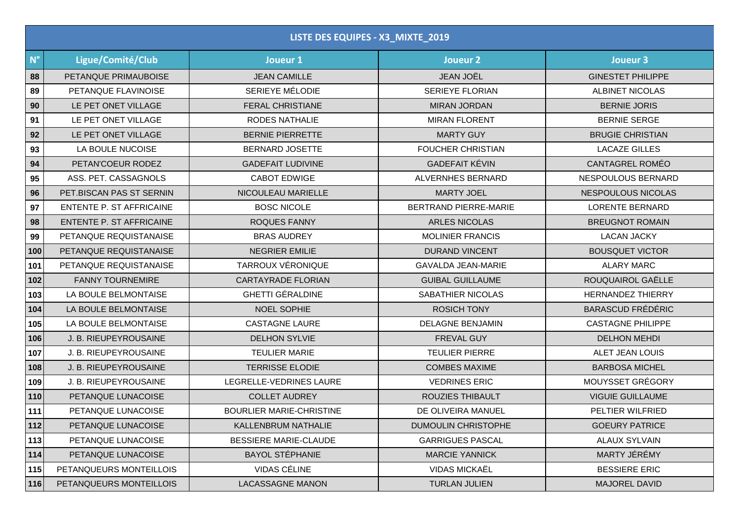|             | LISTE DES EQUIPES - X3_MIXTE_2019 |                                 |                              |                           |
|-------------|-----------------------------------|---------------------------------|------------------------------|---------------------------|
| $N^{\circ}$ | Ligue/Comité/Club                 | Joueur 1                        | Joueur <sub>2</sub>          | Joueur 3                  |
| 88          | PETANQUE PRIMAUBOISE              | <b>JEAN CAMILLE</b>             | <b>JEAN JOËL</b>             | <b>GINESTET PHILIPPE</b>  |
| 89          | PETANQUE FLAVINOISE               | SERIEYE MÉLODIE                 | SERIEYE FLORIAN              | <b>ALBINET NICOLAS</b>    |
| 90          | LE PET ONET VILLAGE               | <b>FERAL CHRISTIANE</b>         | <b>MIRAN JORDAN</b>          | <b>BERNIE JORIS</b>       |
| 91          | LE PET ONET VILLAGE               | <b>RODES NATHALIE</b>           | <b>MIRAN FLORENT</b>         | <b>BERNIE SERGE</b>       |
| 92          | LE PET ONET VILLAGE               | <b>BERNIE PIERRETTE</b>         | <b>MARTY GUY</b>             | <b>BRUGIE CHRISTIAN</b>   |
| 93          | LA BOULE NUCOISE                  | <b>BERNARD JOSETTE</b>          | <b>FOUCHER CHRISTIAN</b>     | <b>LACAZE GILLES</b>      |
| 94          | PETAN'COEUR RODEZ                 | <b>GADEFAIT LUDIVINE</b>        | <b>GADEFAIT KÉVIN</b>        | CANTAGREL ROMÉO           |
| 95          | ASS. PET. CASSAGNOLS              | <b>CABOT EDWIGE</b>             | ALVERNHES BERNARD            | NESPOULOUS BERNARD        |
| 96          | PET.BISCAN PAS ST SERNIN          | NICOULEAU MARIELLE              | <b>MARTY JOEL</b>            | <b>NESPOULOUS NICOLAS</b> |
| 97          | <b>ENTENTE P. ST AFFRICAINE</b>   | <b>BOSC NICOLE</b>              | <b>BERTRAND PIERRE-MARIE</b> | <b>LORENTE BERNARD</b>    |
| 98          | <b>ENTENTE P. ST AFFRICAINE</b>   | <b>ROQUES FANNY</b>             | <b>ARLES NICOLAS</b>         | <b>BREUGNOT ROMAIN</b>    |
| 99          | PETANQUE REQUISTANAISE            | <b>BRAS AUDREY</b>              | <b>MOLINIER FRANCIS</b>      | <b>LACAN JACKY</b>        |
| 100         | PETANQUE REQUISTANAISE            | <b>NEGRIER EMILIE</b>           | <b>DURAND VINCENT</b>        | <b>BOUSQUET VICTOR</b>    |
| 101         | PETANQUE REQUISTANAISE            | TARROUX VÉRONIQUE               | <b>GAVALDA JEAN-MARIE</b>    | <b>ALARY MARC</b>         |
| 102         | <b>FANNY TOURNEMIRE</b>           | <b>CARTAYRADE FLORIAN</b>       | <b>GUIBAL GUILLAUME</b>      | ROUQUAIROL GAËLLE         |
| 103         | LA BOULE BELMONTAISE              | <b>GHETTI GÉRALDINE</b>         | SABATHIER NICOLAS            | <b>HERNANDEZ THIERRY</b>  |
| 104         | LA BOULE BELMONTAISE              | NOEL SOPHIE                     | <b>ROSICH TONY</b>           | <b>BARASCUD FRÉDÉRIC</b>  |
| 105         | LA BOULE BELMONTAISE              | <b>CASTAGNE LAURE</b>           | <b>DELAGNE BENJAMIN</b>      | <b>CASTAGNE PHILIPPE</b>  |
| 106         | J. B. RIEUPEYROUSAINE             | <b>DELHON SYLVIE</b>            | <b>FREVAL GUY</b>            | <b>DELHON MEHDI</b>       |
| 107         | J. B. RIEUPEYROUSAINE             | <b>TEULIER MARIE</b>            | <b>TEULIER PIERRE</b>        | ALET JEAN LOUIS           |
| 108         | J. B. RIEUPEYROUSAINE             | <b>TERRISSE ELODIE</b>          | <b>COMBES MAXIME</b>         | <b>BARBOSA MICHEL</b>     |
| 109         | J. B. RIEUPEYROUSAINE             | LEGRELLE-VEDRINES LAURE         | <b>VEDRINES ERIC</b>         | MOUYSSET GRÉGORY          |
| 110         | PETANQUE LUNACOISE                | <b>COLLET AUDREY</b>            | <b>ROUZIES THIBAULT</b>      | <b>VIGUIE GUILLAUME</b>   |
| 111         | PETANQUE LUNACOISE                | <b>BOURLIER MARIE-CHRISTINE</b> | DE OLIVEIRA MANUEL           | PELTIER WILFRIED          |
| $112$       | PETANQUE LUNACOISE                | KALLENBRUM NATHALIE             | <b>DUMOULIN CHRISTOPHE</b>   | <b>GOEURY PATRICE</b>     |
| 113         | PETANQUE LUNACOISE                | BESSIERE MARIE-CLAUDE           | <b>GARRIGUES PASCAL</b>      | <b>ALAUX SYLVAIN</b>      |
| 114         | PETANQUE LUNACOISE                | <b>BAYOL STÉPHANIE</b>          | <b>MARCIE YANNICK</b>        | MARTY JÉRÉMY              |
| 115         | PETANQUEURS MONTEILLOIS           | <b>VIDAS CÉLINE</b>             | <b>VIDAS MICKAËL</b>         | <b>BESSIERE ERIC</b>      |
| 116         | PETANQUEURS MONTEILLOIS           | <b>LACASSAGNE MANON</b>         | <b>TURLAN JULIEN</b>         | MAJOREL DAVID             |